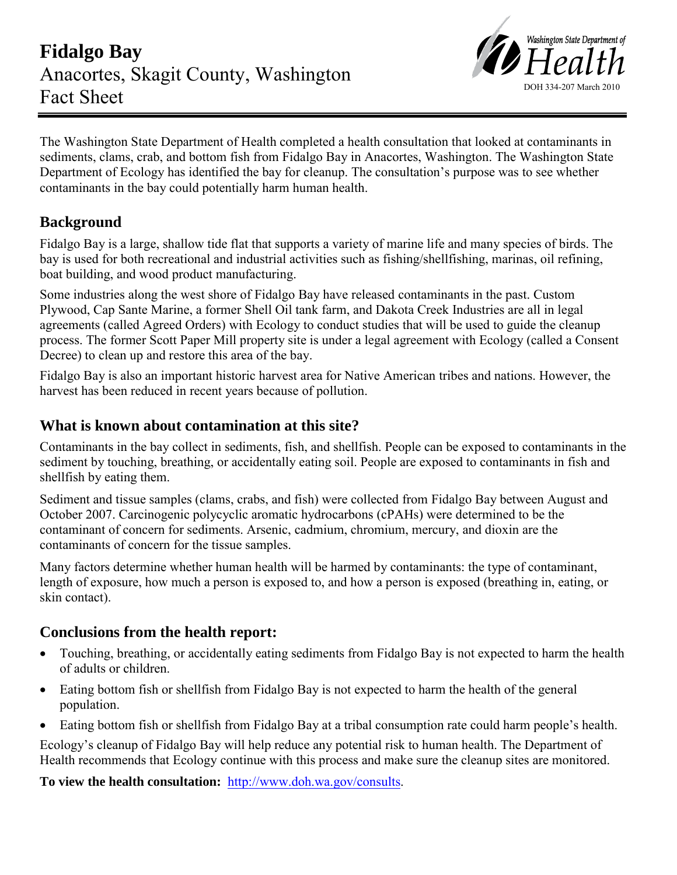

The Washington State Department of Health completed a health consultation that looked at contaminants in sediments, clams, crab, and bottom fish from Fidalgo Bay in Anacortes, Washington. The Washington State Department of Ecology has identified the bay for cleanup. The consultation's purpose was to see whether contaminants in the bay could potentially harm human health.

# **Background**

Fidalgo Bay is a large, shallow tide flat that supports a variety of marine life and many species of birds. The bay is used for both recreational and industrial activities such as fishing/shellfishing, marinas, oil refining, boat building, and wood product manufacturing.

Some industries along the west shore of Fidalgo Bay have released contaminants in the past. Custom Plywood, Cap Sante Marine, a former Shell Oil tank farm, and Dakota Creek Industries are all in legal agreements (called Agreed Orders) with Ecology to conduct studies that will be used to guide the cleanup process. The former Scott Paper Mill property site is under a legal agreement with Ecology (called a Consent Decree) to clean up and restore this area of the bay.

Fidalgo Bay is also an important historic harvest area for Native American tribes and nations. However, the harvest has been reduced in recent years because of pollution.

### **What is known about contamination at this site?**

Contaminants in the bay collect in sediments, fish, and shellfish. People can be exposed to contaminants in the sediment by touching, breathing, or accidentally eating soil. People are exposed to contaminants in fish and shellfish by eating them.

Sediment and tissue samples (clams, crabs, and fish) were collected from Fidalgo Bay between August and October 2007. Carcinogenic polycyclic aromatic hydrocarbons (cPAHs) were determined to be the contaminant of concern for sediments. Arsenic, cadmium, chromium, mercury, and dioxin are the contaminants of concern for the tissue samples.

Many factors determine whether human health will be harmed by contaminants: the type of contaminant, length of exposure, how much a person is exposed to, and how a person is exposed (breathing in, eating, or skin contact).

## **Conclusions from the health report:**

- Touching, breathing, or accidentally eating sediments from Fidalgo Bay is not expected to harm the health of adults or children.
- Eating bottom fish or shellfish from Fidalgo Bay is not expected to harm the health of the general population.
- Eating bottom fish or shellfish from Fidalgo Bay at a tribal consumption rate could harm people's health.

Ecology's cleanup of Fidalgo Bay will help reduce any potential risk to human health. The Department of Health recommends that Ecology continue with this process and make sure the cleanup sites are monitored.

**To view the health consultation:** <http://www.doh.wa.gov/consults>.